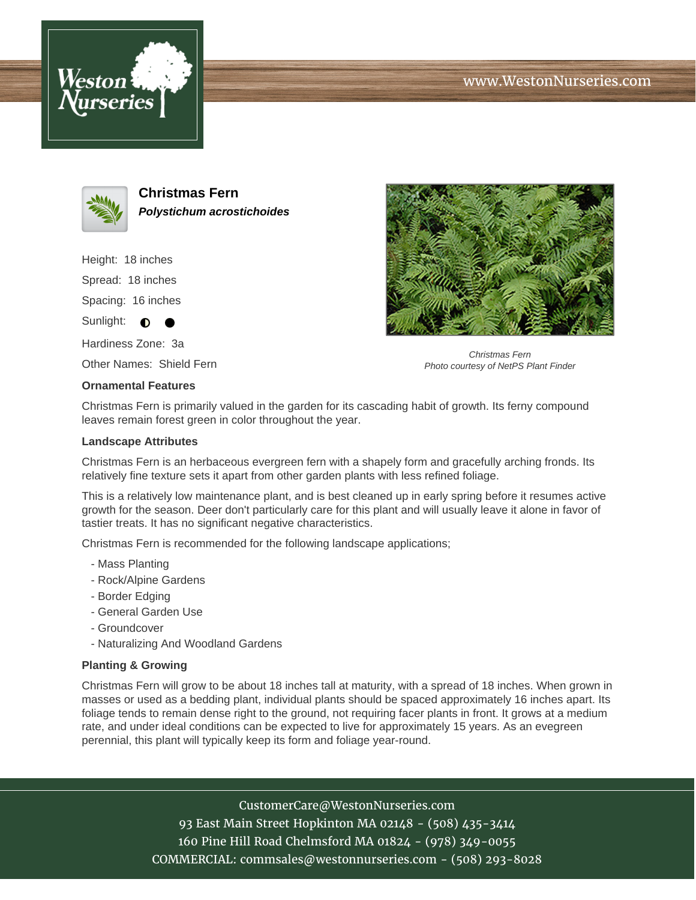





**Christmas Fern Polystichum acrostichoides**

Height: 18 inches Spread: 18 inches Spacing: 16 inches

Sunlight:  $\bullet$ 

Hardiness Zone: 3a

Other Names: Shield Fern

## **Ornamental Features**



Christmas Fern Photo courtesy of NetPS Plant Finder

Christmas Fern is primarily valued in the garden for its cascading habit of growth. Its ferny compound leaves remain forest green in color throughout the year.

## **Landscape Attributes**

Christmas Fern is an herbaceous evergreen fern with a shapely form and gracefully arching fronds. Its relatively fine texture sets it apart from other garden plants with less refined foliage.

This is a relatively low maintenance plant, and is best cleaned up in early spring before it resumes active growth for the season. Deer don't particularly care for this plant and will usually leave it alone in favor of tastier treats. It has no significant negative characteristics.

Christmas Fern is recommended for the following landscape applications;

- Mass Planting
- Rock/Alpine Gardens
- Border Edging
- General Garden Use
- Groundcover
- Naturalizing And Woodland Gardens

## **Planting & Growing**

Christmas Fern will grow to be about 18 inches tall at maturity, with a spread of 18 inches. When grown in masses or used as a bedding plant, individual plants should be spaced approximately 16 inches apart. Its foliage tends to remain dense right to the ground, not requiring facer plants in front. It grows at a medium rate, and under ideal conditions can be expected to live for approximately 15 years. As an evegreen perennial, this plant will typically keep its form and foliage year-round.

CustomerCare@WestonNurseries.com

93 East Main Street Hopkinton MA 02148 - (508) 435-3414 160 Pine Hill Road Chelmsford MA 01824 - (978) 349-0055 COMMERCIAL: commsales@westonnurseries.com - (508) 293-8028